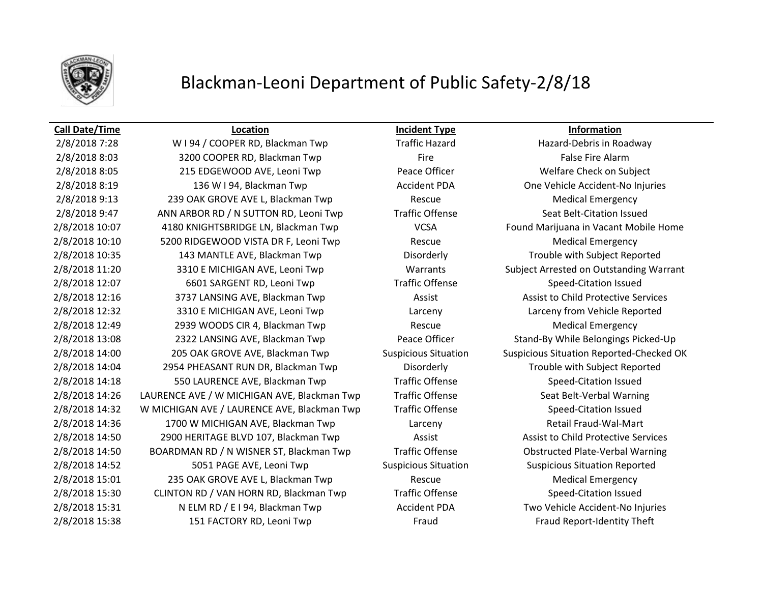

## Blackman-Leoni Department of Public Safety-2/8/18

### **Call Date/Time Location Incident Type Information**

2/8/2018 7:28 W I 94 / COOPER RD, Blackman Twp Traffic Hazard Hazard-Debris in Roadway 2/8/2018 8:03 3200 COOPER RD, Blackman Twp Fire Fire Fire False Fire Alarm 2/8/2018 8:05 215 EDGEWOOD AVE, Leoni Twp Peace Officer Welfare Check on Subject 2/8/2018 8:19 136 W I 94, Blackman Twp Accident PDA One Vehicle Accident-No Injuries 2/8/2018 9:13 239 OAK GROVE AVE L, Blackman Twp Rescue Rescue Medical Emergency 2/8/2018 9:47 ANN ARBOR RD / N SUTTON RD, Leoni Twp Traffic Offense Seat Belt-Citation Issued 2/8/2018 10:07 4180 KNIGHTSBRIDGE LN, Blackman Twp VCSA Found Marijuana in Vacant Mobile Home 2/8/2018 10:10 5200 RIDGEWOOD VISTA DR F, Leoni Twp Rescue Rescue Medical Emergency 2/8/2018 10:35 143 MANTLE AVE, Blackman Twp Disorderly Trouble with Subject Reported 2/8/2018 11:20 3310 E MICHIGAN AVE, Leoni Twp Warrants Subject Arrested on Outstanding Warrant 2/8/2018 12:07 6601 SARGENT RD, Leoni Twp Traffic Offense Speed-Citation Issued 2/8/2018 12:16 3737 LANSING AVE, Blackman Twp Assist Assist to Child Protective Services 2/8/2018 12:32 3310 E MICHIGAN AVE, Leoni Twp Larceny Larceny from Vehicle Reported 2/8/2018 12:49 2939 WOODS CIR 4, Blackman Twp Rescue Rescue Medical Emergency 2/8/2018 13:08 2322 LANSING AVE, Blackman Twp Peace Officer Stand-By While Belongings Picked-Up 2/8/2018 14:00 205 OAK GROVE AVE, Blackman Twp Suspicious Situation Suspicious Situation Reported-Checked OK 2/8/2018 14:04 2954 PHEASANT RUN DR, Blackman Twp Disorderly Trouble with Subject Reported 2/8/2018 14:18 550 LAURENCE AVE, Blackman Twp Traffic Offense Speed-Citation Issued 2/8/2018 14:26 LAURENCE AVE / W MICHIGAN AVE, Blackman Twp Traffic Offense Seat Belt-Verbal Warning 2/8/2018 14:32 W MICHIGAN AVE / LAURENCE AVE, Blackman Twp Traffic Offense Speed-Citation Issued 2/8/2018 14:36 1700 W MICHIGAN AVE, Blackman Twp Larceny Larceny Retail Fraud-Wal-Mart 2/8/2018 14:50 2900 HERITAGE BLVD 107, Blackman Twp Assist Assist to Child Protective Services 2/8/2018 14:50 BOARDMAN RD / N WISNER ST, Blackman Twp Traffic Offense Obstructed Plate-Verbal Warning 2/8/2018 14:52 5051 PAGE AVE, Leoni Twp Suspicious Situation Suspicious Situation Reported 2/8/2018 15:01 235 OAK GROVE AVE L, Blackman Twp Rescue Rescue Medical Emergency 2/8/2018 15:30 CLINTON RD / VAN HORN RD, Blackman Twp Traffic Offense Speed-Citation Issued 2/8/2018 15:31 N ELM RD / E I 94, Blackman Twp **Accident PDA** Two Vehicle Accident-No Injuries 2/8/2018 15:38 151 FACTORY RD, Leoni Twp Fraud Fraud Report-Identity Theft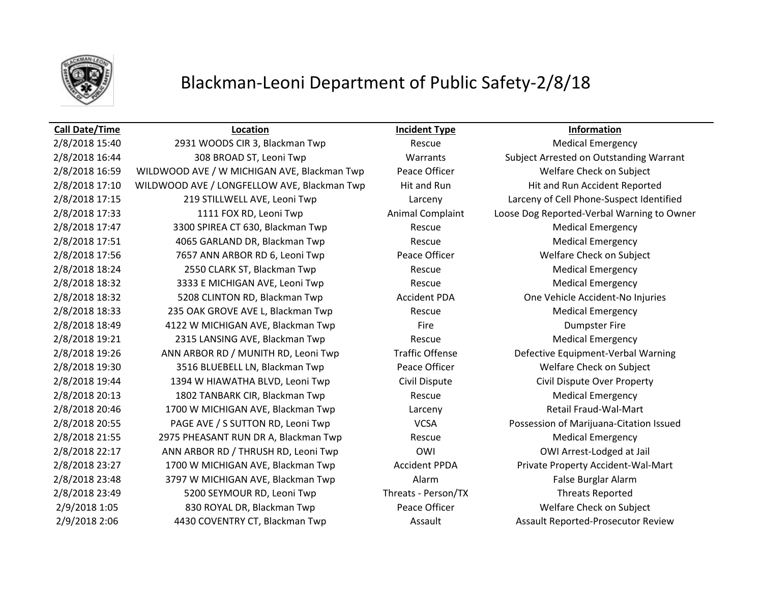

## Blackman-Leoni Department of Public Safety-2/8/18

### **Call Date/Time Location Incident Type Information**

2/8/2018 15:40 2931 WOODS CIR 3, Blackman Twp Rescue Rescue Medical Emergency 2/8/2018 16:44 308 BROAD ST, Leoni Twp Warrants Subject Arrested on Outstanding Warrant 2/8/2018 16:59 WILDWOOD AVE / W MICHIGAN AVE, Blackman Twp Peace Officer Waller Welfare Check on Subject 2/8/2018 17:10 WILDWOOD AVE / LONGFELLOW AVE, Blackman Twp Hit and Run Hit and Run Hit and Run Accident Reported 2/8/2018 17:15 219 STILLWELL AVE, Leoni Twp Larceny Larceny of Cell Phone-Suspect Identified 2/8/2018 17:33 1111 FOX RD, Leoni Twp Animal Complaint Loose Dog Reported-Verbal Warning to Owner 2/8/2018 17:47 3300 SPIREA CT 630, Blackman Twp Rescue Medical Emergency 2/8/2018 17:51 4065 GARLAND DR, Blackman Twp Rescue Medical Emergency 2/8/2018 17:56 2007 7657 ANN ARBOR RD 6, Leoni Twp Peace Officer The Multiple of Multiple Welfare Check on Subject 2/8/2018 18:24 2550 CLARK ST, Blackman Twp Rescue Medical Emergency 2/8/2018 18:32 3333 E MICHIGAN AVE, Leoni Twp Rescue Medical Emergency 2/8/2018 18:32 5208 CLINTON RD, Blackman Twp Accident PDA One Vehicle Accident-No Injuries 2/8/2018 18:33 **235 OAK GROVE AVE L, Blackman Twp** Rescue Rescue Medical Emergency 2/8/2018 18:49 4122 W MICHIGAN AVE, Blackman Twp Fire Dumpster Fire 2/8/2018 19:21 **2315 LANSING AVE, Blackman Twp** Rescue Rescue Medical Emergency 2/8/2018 19:26 ANN ARBOR RD / MUNITH RD, Leoni Twp Traffic Offense Defective Equipment-Verbal Warning 2/8/2018 19:30 3516 BLUEBELL LN, Blackman Twp Peace Officer Welfare Check on Subject 2/8/2018 19:44 1394 W HIAWATHA BLVD, Leoni Twp Civil Dispute Civil Dispute Over Property 2/8/2018 20:13 1802 TANBARK CIR, Blackman Twp Rescue Medical Emergency 2/8/2018 20:46 1700 W MICHIGAN AVE, Blackman Twp Larceny Larceny Retail Fraud-Wal-Mart 2/8/2018 20:55 PAGE AVE / S SUTTON RD, Leoni Twp VCSA Possession of Marijuana-Citation Issued 2/8/2018 21:55 2975 PHEASANT RUN DR A, Blackman Twp Rescue Rescue Medical Emergency 2/8/2018 22:17 ANN ARBOR RD / THRUSH RD, Leoni Twp OWI OWI Arrest-Lodged at Jail 2/8/2018 23:27 1700 W MICHIGAN AVE, Blackman Twp **Accident PPDA** Private Property Accident-Wal-Mart 2/8/2018 23:48 3797 W MICHIGAN AVE, Blackman Twp Alarm Alarm Alarm False Burglar Alarm 2/8/2018 23:49 5200 SEYMOUR RD, Leoni Twp Threats - Person/TX Threats Reported 2/9/2018 1:05 830 ROYAL DR, Blackman Twp Peace Officer Welfare Check on Subject 2/9/2018 2:06 4430 COVENTRY CT, Blackman Twp Assault Assault Assault Reported-Prosecutor Review